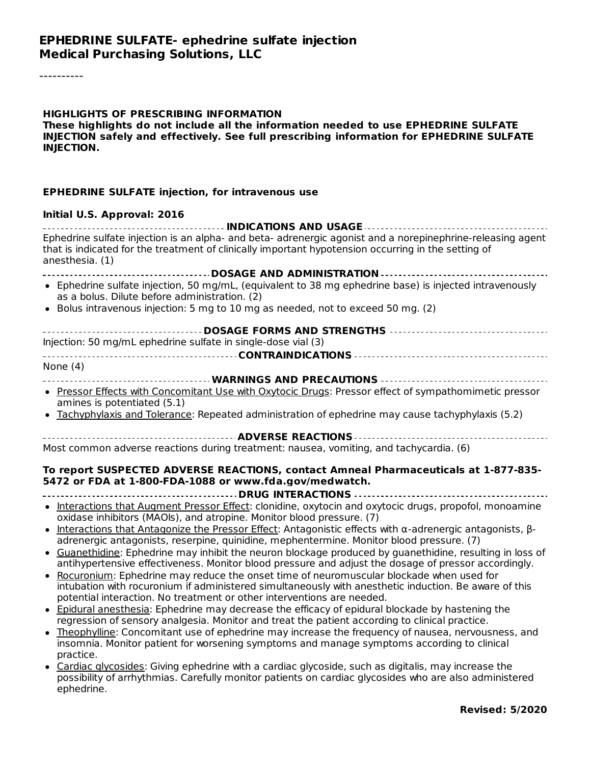#### **HIGHLIGHTS OF PRESCRIBING INFORMATION These highlights do not include all the information needed to use EPHEDRINE SULFATE INJECTION safely and effectively. See full prescribing information for EPHEDRINE SULFATE INJECTION.**

#### **EPHEDRINE SULFATE injection, for intravenous use**

#### **Initial U.S. Approval: 2016**

| Ephedrine sulfate injection is an alpha- and beta- adrenergic agonist and a norepinephrine-releasing agent<br>that is indicated for the treatment of clinically important hypotension occurring in the setting of |  |  |  |  |
|-------------------------------------------------------------------------------------------------------------------------------------------------------------------------------------------------------------------|--|--|--|--|
| anesthesia. (1)                                                                                                                                                                                                   |  |  |  |  |
| <b>DOSAGE AND ADMINISTRATION.</b>                                                                                                                                                                                 |  |  |  |  |
| • Ephedrine sulfate injection, 50 mg/mL, (equivalent to 38 mg ephedrine base) is injected intravenously<br>as a bolus. Dilute before administration. (2)                                                          |  |  |  |  |
| • Bolus intravenous injection: 5 mg to 10 mg as needed, not to exceed 50 mg. (2)                                                                                                                                  |  |  |  |  |
|                                                                                                                                                                                                                   |  |  |  |  |
| Injection: 50 mg/mL ephedrine sulfate in single-dose vial (3)                                                                                                                                                     |  |  |  |  |
|                                                                                                                                                                                                                   |  |  |  |  |
| None $(4)$                                                                                                                                                                                                        |  |  |  |  |
| WARNINGS AND PRECAUTIONS                                                                                                                                                                                          |  |  |  |  |
| • Pressor Effects with Concomitant Use with Oxytocic Drugs: Pressor effect of sympathomimetic pressor<br>amines is potentiated (5.1)                                                                              |  |  |  |  |
| • Tachyphylaxis and Tolerance: Repeated administration of ephedrine may cause tachyphylaxis (5.2)                                                                                                                 |  |  |  |  |
| <b>ADVERSE REACTIONS</b>                                                                                                                                                                                          |  |  |  |  |
| Most common adverse reactions during treatment: nausea, vomiting, and tachycardia. (6)                                                                                                                            |  |  |  |  |

#### **To report SUSPECTED ADVERSE REACTIONS, contact Amneal Pharmaceuticals at 1-877-835- 5472 or FDA at 1-800-FDA-1088 or www.fda.gov/medwatch.**

**DRUG INTERACTIONS**

- Interactions that Augment Pressor Effect: clonidine, oxytocin and oxytocic drugs, propofol, monoamine oxidase inhibitors (MAOIs), and atropine. Monitor blood pressure. (7)
- Interactions that Antagonize the Pressor Effect: Antagonistic effects with α-adrenergic antagonists, β- $\bullet$ adrenergic antagonists, reserpine, quinidine, mephentermine. Monitor blood pressure. (7)
- Guanethidine: Ephedrine may inhibit the neuron blockage produced by guanethidine, resulting in loss of  $\bullet$ antihypertensive effectiveness. Monitor blood pressure and adjust the dosage of pressor accordingly.
- Rocuronium: Ephedrine may reduce the onset time of neuromuscular blockade when used for intubation with rocuronium if administered simultaneously with anesthetic induction. Be aware of this potential interaction. No treatment or other interventions are needed.
- Epidural anesthesia: Ephedrine may decrease the efficacy of epidural blockade by hastening the regression of sensory analgesia. Monitor and treat the patient according to clinical practice.
- Theophylline: Concomitant use of ephedrine may increase the frequency of nausea, nervousness, and insomnia. Monitor patient for worsening symptoms and manage symptoms according to clinical practice.
- Cardiac glycosides: Giving ephedrine with a cardiac glycoside, such as digitalis, may increase the possibility of arrhythmias. Carefully monitor patients on cardiac glycosides who are also administered ephedrine.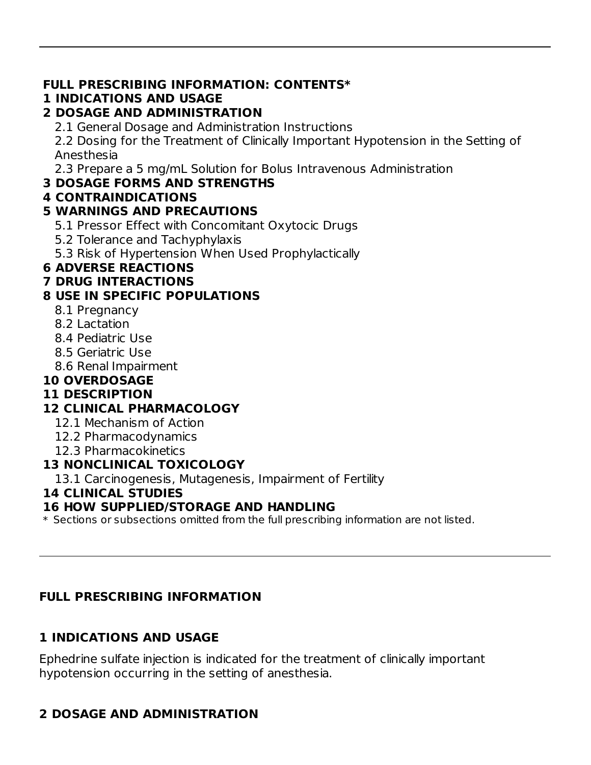#### **FULL PRESCRIBING INFORMATION: CONTENTS\***

#### **1 INDICATIONS AND USAGE**

#### **2 DOSAGE AND ADMINISTRATION**

2.1 General Dosage and Administration Instructions

2.2 Dosing for the Treatment of Clinically Important Hypotension in the Setting of Anesthesia

2.3 Prepare a 5 mg/mL Solution for Bolus Intravenous Administration

#### **3 DOSAGE FORMS AND STRENGTHS**

#### **4 CONTRAINDICATIONS**

#### **5 WARNINGS AND PRECAUTIONS**

- 5.1 Pressor Effect with Concomitant Oxytocic Drugs
- 5.2 Tolerance and Tachyphylaxis
- 5.3 Risk of Hypertension When Used Prophylactically

#### **6 ADVERSE REACTIONS**

#### **7 DRUG INTERACTIONS**

#### **8 USE IN SPECIFIC POPULATIONS**

- 8.1 Pregnancy
- 8.2 Lactation
- 8.4 Pediatric Use
- 8.5 Geriatric Use
- 8.6 Renal Impairment

## **10 OVERDOSAGE**

#### **11 DESCRIPTION**

#### **12 CLINICAL PHARMACOLOGY**

- 12.1 Mechanism of Action
- 12.2 Pharmacodynamics
- 12.3 Pharmacokinetics

#### **13 NONCLINICAL TOXICOLOGY**

13.1 Carcinogenesis, Mutagenesis, Impairment of Fertility

#### **14 CLINICAL STUDIES**

#### **16 HOW SUPPLIED/STORAGE AND HANDLING**

\* Sections or subsections omitted from the full prescribing information are not listed.

#### **FULL PRESCRIBING INFORMATION**

#### **1 INDICATIONS AND USAGE**

Ephedrine sulfate injection is indicated for the treatment of clinically important hypotension occurring in the setting of anesthesia.

# **2 DOSAGE AND ADMINISTRATION**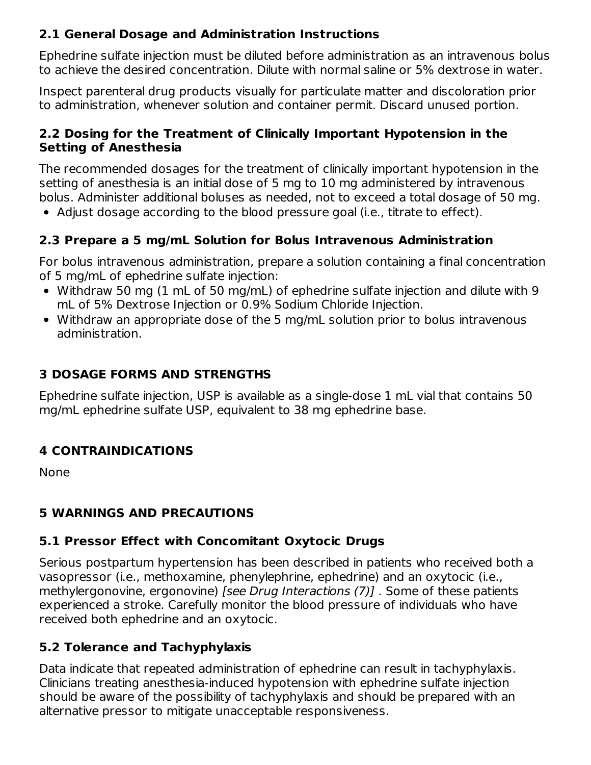#### **2.1 General Dosage and Administration Instructions**

Ephedrine sulfate injection must be diluted before administration as an intravenous bolus to achieve the desired concentration. Dilute with normal saline or 5% dextrose in water.

Inspect parenteral drug products visually for particulate matter and discoloration prior to administration, whenever solution and container permit. Discard unused portion.

#### **2.2 Dosing for the Treatment of Clinically Important Hypotension in the Setting of Anesthesia**

The recommended dosages for the treatment of clinically important hypotension in the setting of anesthesia is an initial dose of 5 mg to 10 mg administered by intravenous bolus. Administer additional boluses as needed, not to exceed a total dosage of 50 mg.

Adjust dosage according to the blood pressure goal (i.e., titrate to effect).

#### **2.3 Prepare a 5 mg/mL Solution for Bolus Intravenous Administration**

For bolus intravenous administration, prepare a solution containing a final concentration of 5 mg/mL of ephedrine sulfate injection:

- Withdraw 50 mg (1 mL of 50 mg/mL) of ephedrine sulfate injection and dilute with 9 mL of 5% Dextrose Injection or 0.9% Sodium Chloride Injection.
- Withdraw an appropriate dose of the 5 mg/mL solution prior to bolus intravenous administration.

#### **3 DOSAGE FORMS AND STRENGTHS**

Ephedrine sulfate injection, USP is available as a single-dose 1 mL vial that contains 50 mg/mL ephedrine sulfate USP, equivalent to 38 mg ephedrine base.

#### **4 CONTRAINDICATIONS**

None

#### **5 WARNINGS AND PRECAUTIONS**

#### **5.1 Pressor Effect with Concomitant Oxytocic Drugs**

Serious postpartum hypertension has been described in patients who received both a vasopressor (i.e., methoxamine, phenylephrine, ephedrine) and an oxytocic (i.e., methylergonovine, ergonovine) [see Drug Interactions (7)]. Some of these patients experienced a stroke. Carefully monitor the blood pressure of individuals who have received both ephedrine and an oxytocic.

#### **5.2 Tolerance and Tachyphylaxis**

Data indicate that repeated administration of ephedrine can result in tachyphylaxis. Clinicians treating anesthesia-induced hypotension with ephedrine sulfate injection should be aware of the possibility of tachyphylaxis and should be prepared with an alternative pressor to mitigate unacceptable responsiveness.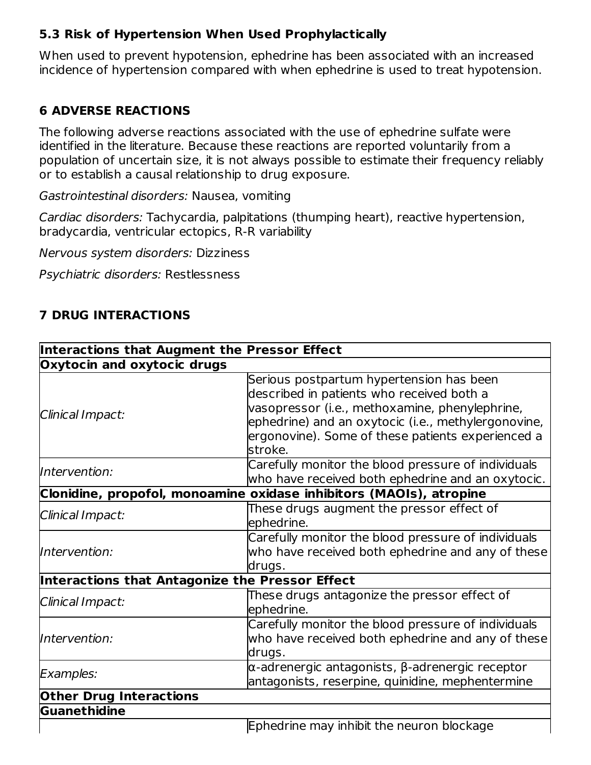#### **5.3 Risk of Hypertension When Used Prophylactically**

When used to prevent hypotension, ephedrine has been associated with an increased incidence of hypertension compared with when ephedrine is used to treat hypotension.

#### **6 ADVERSE REACTIONS**

The following adverse reactions associated with the use of ephedrine sulfate were identified in the literature. Because these reactions are reported voluntarily from a population of uncertain size, it is not always possible to estimate their frequency reliably or to establish a causal relationship to drug exposure.

Gastrointestinal disorders: Nausea, vomiting

Cardiac disorders: Tachycardia, palpitations (thumping heart), reactive hypertension, bradycardia, ventricular ectopics, R-R variability

Nervous system disorders: Dizziness

Psychiatric disorders: Restlessness

#### **7 DRUG INTERACTIONS**

| Interactions that Augment the Pressor Effect |                                                                                                                                                                                                                                                                |  |  |
|----------------------------------------------|----------------------------------------------------------------------------------------------------------------------------------------------------------------------------------------------------------------------------------------------------------------|--|--|
| Oxytocin and oxytocic drugs                  |                                                                                                                                                                                                                                                                |  |  |
| Clinical Impact:                             | Serious postpartum hypertension has been<br>described in patients who received both a<br>vasopressor (i.e., methoxamine, phenylephrine,<br>ephedrine) and an oxytocic (i.e., methylergonovine,<br>ergonovine). Some of these patients experienced a<br>stroke. |  |  |
| Intervention:                                | Carefully monitor the blood pressure of individuals<br>who have received both ephedrine and an oxytocic.                                                                                                                                                       |  |  |
|                                              | Clonidine, propofol, monoamine oxidase inhibitors (MAOIs), atropine                                                                                                                                                                                            |  |  |
| Clinical Impact:                             | These drugs augment the pressor effect of<br>ephedrine.                                                                                                                                                                                                        |  |  |
| Intervention:                                | Carefully monitor the blood pressure of individuals<br>who have received both ephedrine and any of these<br>drugs.                                                                                                                                             |  |  |
|                                              | Interactions that Antagonize the Pressor Effect                                                                                                                                                                                                                |  |  |
| Clinical Impact:                             | These drugs antagonize the pressor effect of<br>ephedrine.                                                                                                                                                                                                     |  |  |
| Intervention:                                | Carefully monitor the blood pressure of individuals<br>who have received both ephedrine and any of these<br>drugs.                                                                                                                                             |  |  |
| <b>Examples:</b>                             | $\alpha$ -adrenergic antagonists, β-adrenergic receptor<br>antagonists, reserpine, quinidine, mephentermine                                                                                                                                                    |  |  |
| <b>Other Drug Interactions</b>               |                                                                                                                                                                                                                                                                |  |  |
| Guanethidine                                 |                                                                                                                                                                                                                                                                |  |  |
|                                              | Ephedrine may inhibit the neuron blockage                                                                                                                                                                                                                      |  |  |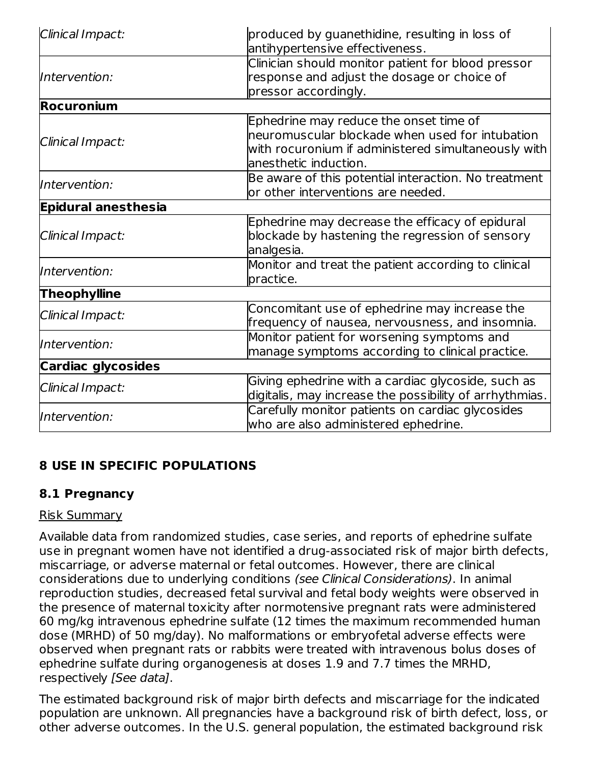| Clinical Impact:           | produced by guanethidine, resulting in loss of<br>antihypertensive effectiveness.                                                                                         |  |  |  |
|----------------------------|---------------------------------------------------------------------------------------------------------------------------------------------------------------------------|--|--|--|
| Intervention:              | Clinician should monitor patient for blood pressor<br>response and adjust the dosage or choice of<br>pressor accordingly.                                                 |  |  |  |
| <b>Rocuronium</b>          |                                                                                                                                                                           |  |  |  |
| Clinical Impact:           | Ephedrine may reduce the onset time of<br>neuromuscular blockade when used for intubation<br>with rocuronium if administered simultaneously with<br>anesthetic induction. |  |  |  |
| Intervention:              | Be aware of this potential interaction. No treatment<br>or other interventions are needed.                                                                                |  |  |  |
| <b>Epidural anesthesia</b> |                                                                                                                                                                           |  |  |  |
| Clinical Impact:           | Ephedrine may decrease the efficacy of epidural<br>blockade by hastening the regression of sensory<br>analgesia.                                                          |  |  |  |
| Intervention:              | Monitor and treat the patient according to clinical<br>practice.                                                                                                          |  |  |  |
| <b>Theophylline</b>        |                                                                                                                                                                           |  |  |  |
| Clinical Impact:           | Concomitant use of ephedrine may increase the<br>frequency of nausea, nervousness, and insomnia.                                                                          |  |  |  |
| Intervention:              | Monitor patient for worsening symptoms and<br>manage symptoms according to clinical practice.                                                                             |  |  |  |
| <b>Cardiac glycosides</b>  |                                                                                                                                                                           |  |  |  |
| Clinical Impact:           | Giving ephedrine with a cardiac glycoside, such as<br>digitalis, may increase the possibility of arrhythmias.                                                             |  |  |  |
| Intervention:              | Carefully monitor patients on cardiac glycosides<br>who are also administered ephedrine.                                                                                  |  |  |  |

#### **8 USE IN SPECIFIC POPULATIONS**

#### **8.1 Pregnancy**

#### Risk Summary

Available data from randomized studies, case series, and reports of ephedrine sulfate use in pregnant women have not identified a drug-associated risk of major birth defects, miscarriage, or adverse maternal or fetal outcomes. However, there are clinical considerations due to underlying conditions (see Clinical Considerations). In animal reproduction studies, decreased fetal survival and fetal body weights were observed in the presence of maternal toxicity after normotensive pregnant rats were administered 60 mg/kg intravenous ephedrine sulfate (12 times the maximum recommended human dose (MRHD) of 50 mg/day). No malformations or embryofetal adverse effects were observed when pregnant rats or rabbits were treated with intravenous bolus doses of ephedrine sulfate during organogenesis at doses 1.9 and 7.7 times the MRHD, respectively [See data].

The estimated background risk of major birth defects and miscarriage for the indicated population are unknown. All pregnancies have a background risk of birth defect, loss, or other adverse outcomes. In the U.S. general population, the estimated background risk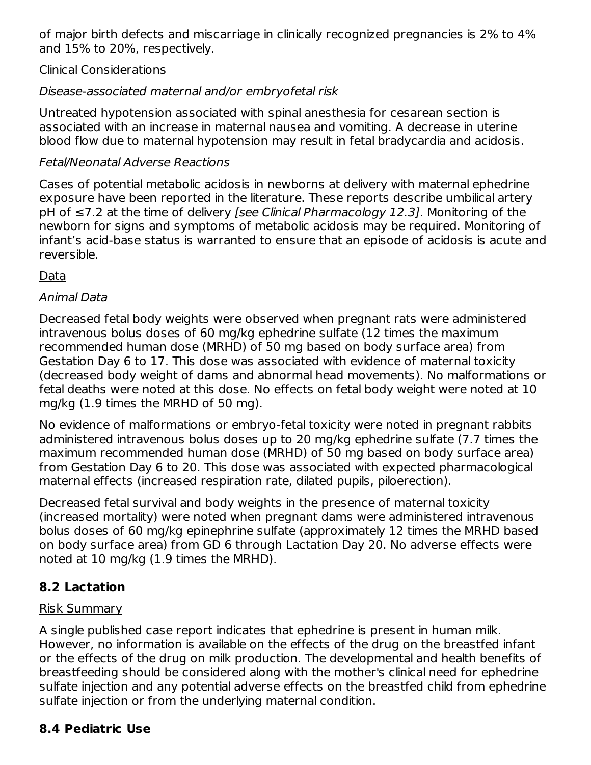of major birth defects and miscarriage in clinically recognized pregnancies is 2% to 4% and 15% to 20%, respectively.

#### Clinical Considerations

#### Disease-associated maternal and/or embryofetal risk

Untreated hypotension associated with spinal anesthesia for cesarean section is associated with an increase in maternal nausea and vomiting. A decrease in uterine blood flow due to maternal hypotension may result in fetal bradycardia and acidosis.

#### Fetal/Neonatal Adverse Reactions

Cases of potential metabolic acidosis in newborns at delivery with maternal ephedrine exposure have been reported in the literature. These reports describe umbilical artery pH of ≤7.2 at the time of delivery [see Clinical Pharmacology 12.3]. Monitoring of the newborn for signs and symptoms of metabolic acidosis may be required. Monitoring of infant's acid-base status is warranted to ensure that an episode of acidosis is acute and reversible.

#### Data

#### Animal Data

Decreased fetal body weights were observed when pregnant rats were administered intravenous bolus doses of 60 mg/kg ephedrine sulfate (12 times the maximum recommended human dose (MRHD) of 50 mg based on body surface area) from Gestation Day 6 to 17. This dose was associated with evidence of maternal toxicity (decreased body weight of dams and abnormal head movements). No malformations or fetal deaths were noted at this dose. No effects on fetal body weight were noted at 10 mg/kg (1.9 times the MRHD of 50 mg).

No evidence of malformations or embryo-fetal toxicity were noted in pregnant rabbits administered intravenous bolus doses up to 20 mg/kg ephedrine sulfate (7.7 times the maximum recommended human dose (MRHD) of 50 mg based on body surface area) from Gestation Day 6 to 20. This dose was associated with expected pharmacological maternal effects (increased respiration rate, dilated pupils, piloerection).

Decreased fetal survival and body weights in the presence of maternal toxicity (increased mortality) were noted when pregnant dams were administered intravenous bolus doses of 60 mg/kg epinephrine sulfate (approximately 12 times the MRHD based on body surface area) from GD 6 through Lactation Day 20. No adverse effects were noted at 10 mg/kg (1.9 times the MRHD).

#### **8.2 Lactation**

#### Risk Summary

A single published case report indicates that ephedrine is present in human milk. However, no information is available on the effects of the drug on the breastfed infant or the effects of the drug on milk production. The developmental and health benefits of breastfeeding should be considered along with the mother's clinical need for ephedrine sulfate injection and any potential adverse effects on the breastfed child from ephedrine sulfate injection or from the underlying maternal condition.

#### **8.4 Pediatric Use**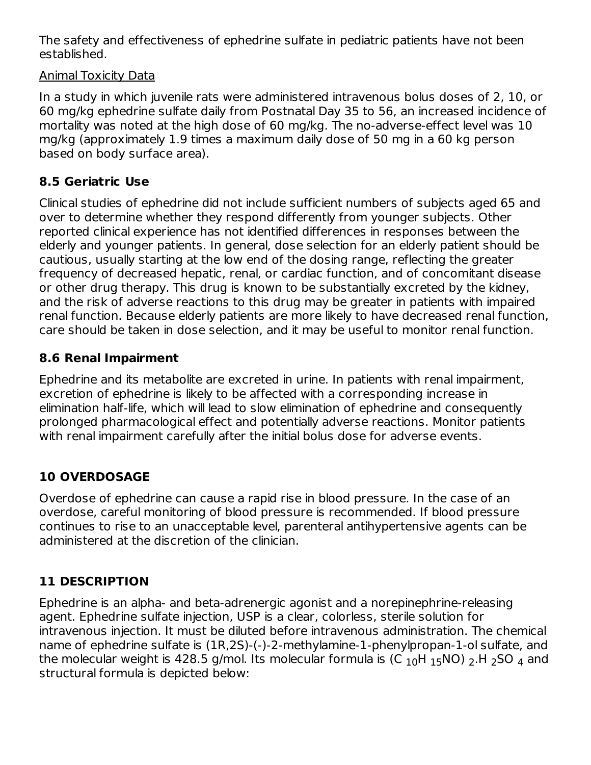The safety and effectiveness of ephedrine sulfate in pediatric patients have not been established.

#### Animal Toxicity Data

In a study in which juvenile rats were administered intravenous bolus doses of 2, 10, or 60 mg/kg ephedrine sulfate daily from Postnatal Day 35 to 56, an increased incidence of mortality was noted at the high dose of 60 mg/kg. The no-adverse-effect level was 10 mg/kg (approximately 1.9 times a maximum daily dose of 50 mg in a 60 kg person based on body surface area).

#### **8.5 Geriatric Use**

Clinical studies of ephedrine did not include sufficient numbers of subjects aged 65 and over to determine whether they respond differently from younger subjects. Other reported clinical experience has not identified differences in responses between the elderly and younger patients. In general, dose selection for an elderly patient should be cautious, usually starting at the low end of the dosing range, reflecting the greater frequency of decreased hepatic, renal, or cardiac function, and of concomitant disease or other drug therapy. This drug is known to be substantially excreted by the kidney, and the risk of adverse reactions to this drug may be greater in patients with impaired renal function. Because elderly patients are more likely to have decreased renal function, care should be taken in dose selection, and it may be useful to monitor renal function.

#### **8.6 Renal Impairment**

Ephedrine and its metabolite are excreted in urine. In patients with renal impairment, excretion of ephedrine is likely to be affected with a corresponding increase in elimination half-life, which will lead to slow elimination of ephedrine and consequently prolonged pharmacological effect and potentially adverse reactions. Monitor patients with renal impairment carefully after the initial bolus dose for adverse events.

#### **10 OVERDOSAGE**

Overdose of ephedrine can cause a rapid rise in blood pressure. In the case of an overdose, careful monitoring of blood pressure is recommended. If blood pressure continues to rise to an unacceptable level, parenteral antihypertensive agents can be administered at the discretion of the clinician.

#### **11 DESCRIPTION**

Ephedrine is an alpha- and beta-adrenergic agonist and a norepinephrine-releasing agent. Ephedrine sulfate injection, USP is a clear, colorless, sterile solution for intravenous injection. It must be diluted before intravenous administration. The chemical name of ephedrine sulfate is (1R,2S)-(-)-2-methylamine-1-phenylpropan-1-ol sulfate, and the molecular weight is 428.5 g/mol. Its molecular formula is (C  $_{10}$ H  $_{15}$ NO)  $_{2}$ .H  $_{2}$ SO  $_{4}$  and structural formula is depicted below: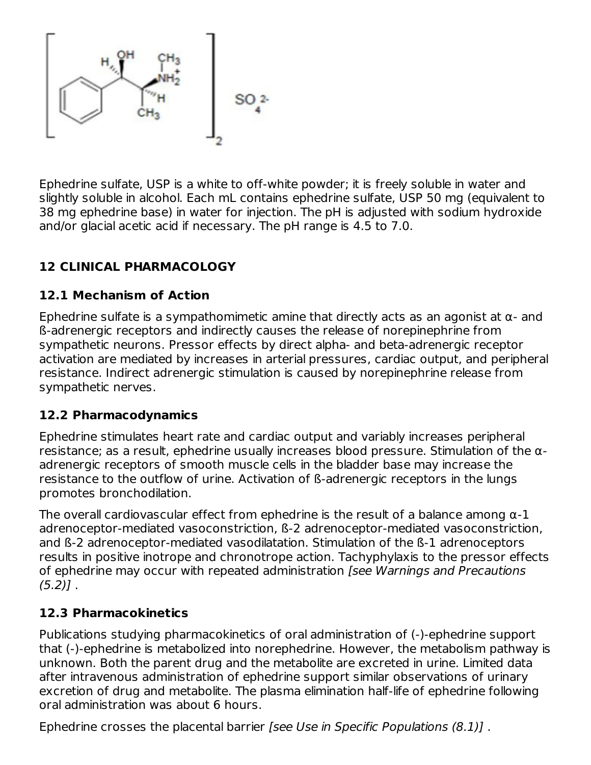

Ephedrine sulfate, USP is a white to off-white powder; it is freely soluble in water and slightly soluble in alcohol. Each mL contains ephedrine sulfate, USP 50 mg (equivalent to 38 mg ephedrine base) in water for injection. The pH is adjusted with sodium hydroxide and/or glacial acetic acid if necessary. The pH range is 4.5 to 7.0.

# **12 CLINICAL PHARMACOLOGY**

#### **12.1 Mechanism of Action**

Ephedrine sulfate is a sympathomimetic amine that directly acts as an agonist at α- and ß-adrenergic receptors and indirectly causes the release of norepinephrine from sympathetic neurons. Pressor effects by direct alpha- and beta-adrenergic receptor activation are mediated by increases in arterial pressures, cardiac output, and peripheral resistance. Indirect adrenergic stimulation is caused by norepinephrine release from sympathetic nerves.

#### **12.2 Pharmacodynamics**

Ephedrine stimulates heart rate and cardiac output and variably increases peripheral resistance; as a result, ephedrine usually increases blood pressure. Stimulation of the αadrenergic receptors of smooth muscle cells in the bladder base may increase the resistance to the outflow of urine. Activation of ß-adrenergic receptors in the lungs promotes bronchodilation.

The overall cardiovascular effect from ephedrine is the result of a balance among  $\alpha$ -1 adrenoceptor-mediated vasoconstriction, ß-2 adrenoceptor-mediated vasoconstriction, and ß-2 adrenoceptor-mediated vasodilatation. Stimulation of the ß-1 adrenoceptors results in positive inotrope and chronotrope action. Tachyphylaxis to the pressor effects of ephedrine may occur with repeated administration [see Warnings and Precautions  $(5.2)$ ].

#### **12.3 Pharmacokinetics**

Publications studying pharmacokinetics of oral administration of (-)-ephedrine support that (-)-ephedrine is metabolized into norephedrine. However, the metabolism pathway is unknown. Both the parent drug and the metabolite are excreted in urine. Limited data after intravenous administration of ephedrine support similar observations of urinary excretion of drug and metabolite. The plasma elimination half-life of ephedrine following oral administration was about 6 hours.

Ephedrine crosses the placental barrier [see Use in Specific Populations (8.1)] .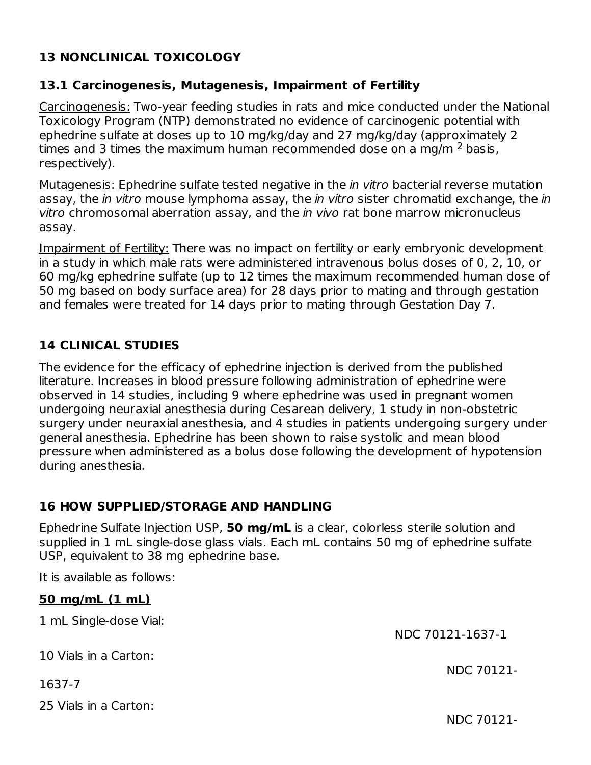#### **13 NONCLINICAL TOXICOLOGY**

#### **13.1 Carcinogenesis, Mutagenesis, Impairment of Fertility**

Carcinogenesis: Two-year feeding studies in rats and mice conducted under the National Toxicology Program (NTP) demonstrated no evidence of carcinogenic potential with ephedrine sulfate at doses up to 10 mg/kg/day and 27 mg/kg/day (approximately 2 times and 3 times the maximum human recommended dose on a mg/m  $^2$  basis, respectively).

Mutagenesis: Ephedrine sulfate tested negative in the *in vitro* bacterial reverse mutation assay, the in vitro mouse lymphoma assay, the in vitro sister chromatid exchange, the in vitro chromosomal aberration assay, and the in vivo rat bone marrow micronucleus assay.

Impairment of Fertility: There was no impact on fertility or early embryonic development in a study in which male rats were administered intravenous bolus doses of 0, 2, 10, or 60 mg/kg ephedrine sulfate (up to 12 times the maximum recommended human dose of 50 mg based on body surface area) for 28 days prior to mating and through gestation and females were treated for 14 days prior to mating through Gestation Day 7.

#### **14 CLINICAL STUDIES**

The evidence for the efficacy of ephedrine injection is derived from the published literature. Increases in blood pressure following administration of ephedrine were observed in 14 studies, including 9 where ephedrine was used in pregnant women undergoing neuraxial anesthesia during Cesarean delivery, 1 study in non-obstetric surgery under neuraxial anesthesia, and 4 studies in patients undergoing surgery under general anesthesia. Ephedrine has been shown to raise systolic and mean blood pressure when administered as a bolus dose following the development of hypotension during anesthesia.

#### **16 HOW SUPPLIED/STORAGE AND HANDLING**

Ephedrine Sulfate Injection USP, **50 mg/mL** is a clear, colorless sterile solution and supplied in 1 mL single-dose glass vials. Each mL contains 50 mg of ephedrine sulfate USP, equivalent to 38 mg ephedrine base.

It is available as follows:

#### **50 mg/mL (1 mL)**

1 mL Single-dose Vial:

10 Vials in a Carton:

1637-7

25 Vials in a Carton:

NDC 70121-

NDC 70121-1637-1

NDC 70121-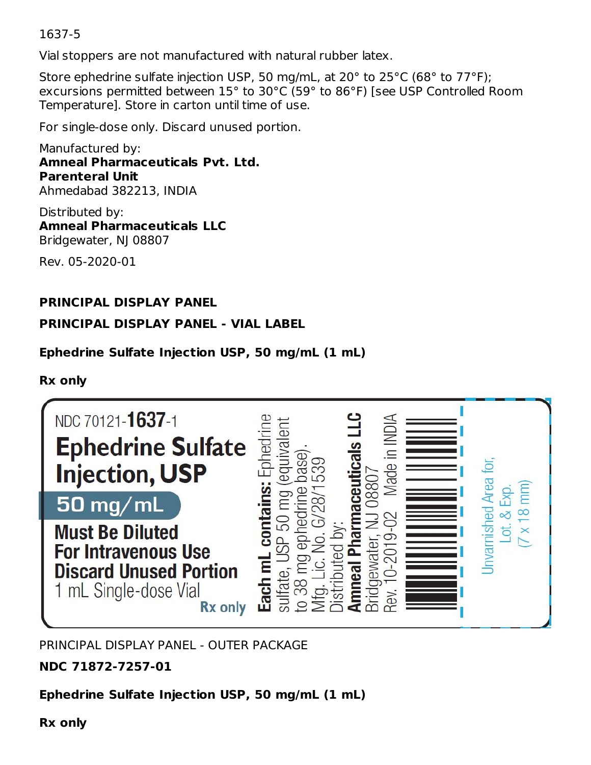1637-5

Vial stoppers are not manufactured with natural rubber latex.

Store ephedrine sulfate injection USP, 50 mg/mL, at 20° to 25°C (68° to 77°F); excursions permitted between 15° to 30°C (59° to 86°F) [see USP Controlled Room Temperature]. Store in carton until time of use.

For single-dose only. Discard unused portion.

Manufactured by: **Amneal Pharmaceuticals Pvt. Ltd. Parenteral Unit** Ahmedabad 382213, INDIA

Distributed by: **Amneal Pharmaceuticals LLC** Bridgewater, NJ 08807

Rev. 05-2020-01

#### **PRINCIPAL DISPLAY PANEL**

#### **PRINCIPAL DISPLAY PANEL - VIAL LABEL**

#### **Ephedrine Sulfate Injection USP, 50 mg/mL (1 mL)**

#### **Rx only**



PRINCIPAL DISPLAY PANEL - OUTER PACKAGE

**NDC 71872-7257-01**

**Ephedrine Sulfate Injection USP, 50 mg/mL (1 mL)**

**Rx only**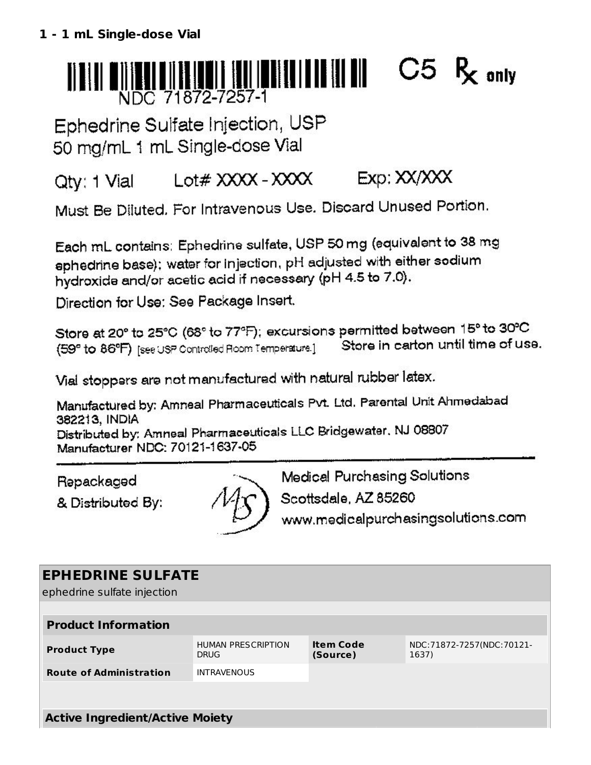# $C5 R_{\rm c}$  only NDC 71872-7257-1

Ephedrine Sulfate Injection, USP 50 mg/mL 1 mL Single-dose Vial

#### Lot# XXXX - XXXX  $Exp: XX/XXX$ Qty: 1 Vial

Must Be Diluted. For Intravenous Use. Discard Unused Portion.

Each mL contains: Ephedrine sulfate, USP 50 mg (equivalent to 38 mg ephedrine base); water for injection, pH adjusted with either sodium hydroxide and/or acetic acid if necessary (pH 4.5 to 7.0).

Direction for Use: See Package Insert.

Store at 20° to 25°C (68° to 77°F); excursions permitted between 15° to 30°C Store in carton until time of use. (59° to 86°F) [see USP Controlled Room Temperature.]

Vial stoppers are not manufactured with natural rubber latex.

Manufactured by: Amneal Pharmaceuticals Pvt. Ltd. Parental Unit Ahmedabad 382213, INDIA Distributed by: Amneal Pharmaceuticals LLC Bridgewater, NJ 08807

Manufacturer NDC: 70121-1637-05

Repackaged

& Distributed By:



Medical Purchasing Solutions

Scottsdale, AZ 85260

www.medicalpurchasingsolutions.com

# **EPHEDRINE SULFATE**

ephedrine sulfate injection

| <b>Product Information</b>             |                                          |                              |                                    |  |
|----------------------------------------|------------------------------------------|------------------------------|------------------------------------|--|
| <b>Product Type</b>                    | <b>HUMAN PRESCRIPTION</b><br><b>DRUG</b> | <b>Item Code</b><br>(Source) | NDC:71872-7257(NDC:70121-<br>1637) |  |
| <b>Route of Administration</b>         | <b>INTRAVENOUS</b>                       |                              |                                    |  |
|                                        |                                          |                              |                                    |  |
| <b>Active Ingredient/Active Moiety</b> |                                          |                              |                                    |  |